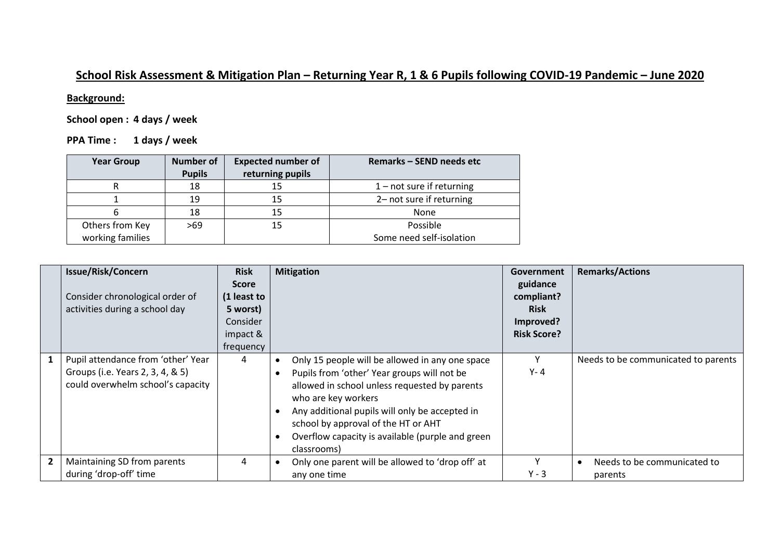## **School Risk Assessment & Mitigation Plan – Returning Year R, 1 & 6 Pupils following COVID-19 Pandemic – June 2020**

## **Background:**

**School open : 4 days / week**

**PPA Time : 1 days / week**

| <b>Year Group</b> | <b>Number of</b> | <b>Expected number of</b> | <b>Remarks - SEND needs etc</b> |
|-------------------|------------------|---------------------------|---------------------------------|
|                   | <b>Pupils</b>    | returning pupils          |                                 |
|                   | 18               | 15                        | $1$ – not sure if returning     |
|                   | 19               | 15                        | 2- not sure if returning        |
| n                 | 18               | 15                        | None                            |
| Others from Key   | >69              | 15                        | Possible                        |
| working families  |                  |                           | Some need self-isolation        |

|                | <b>Issue/Risk/Concern</b><br>Consider chronological order of<br>activities during a school day              | <b>Risk</b><br><b>Score</b><br>(1 least to<br>5 worst)<br>Consider<br>impact &<br>frequency | <b>Mitigation</b>                                                                                                                                                                                                                                                                                                                  | Government<br>guidance<br>compliant?<br><b>Risk</b><br>Improved?<br><b>Risk Score?</b> | <b>Remarks/Actions</b>                 |
|----------------|-------------------------------------------------------------------------------------------------------------|---------------------------------------------------------------------------------------------|------------------------------------------------------------------------------------------------------------------------------------------------------------------------------------------------------------------------------------------------------------------------------------------------------------------------------------|----------------------------------------------------------------------------------------|----------------------------------------|
|                | Pupil attendance from 'other' Year<br>Groups (i.e. Years 2, 3, 4, & 5)<br>could overwhelm school's capacity | 4                                                                                           | Only 15 people will be allowed in any one space<br>Pupils from 'other' Year groups will not be<br>allowed in school unless requested by parents<br>who are key workers<br>Any additional pupils will only be accepted in<br>school by approval of the HT or AHT<br>Overflow capacity is available (purple and green<br>classrooms) | Υ<br>$Y - 4$                                                                           | Needs to be communicated to parents    |
| $\overline{2}$ | Maintaining SD from parents<br>during 'drop-off' time                                                       | 4                                                                                           | Only one parent will be allowed to 'drop off' at<br>any one time                                                                                                                                                                                                                                                                   | Y<br>$Y - 3$                                                                           | Needs to be communicated to<br>parents |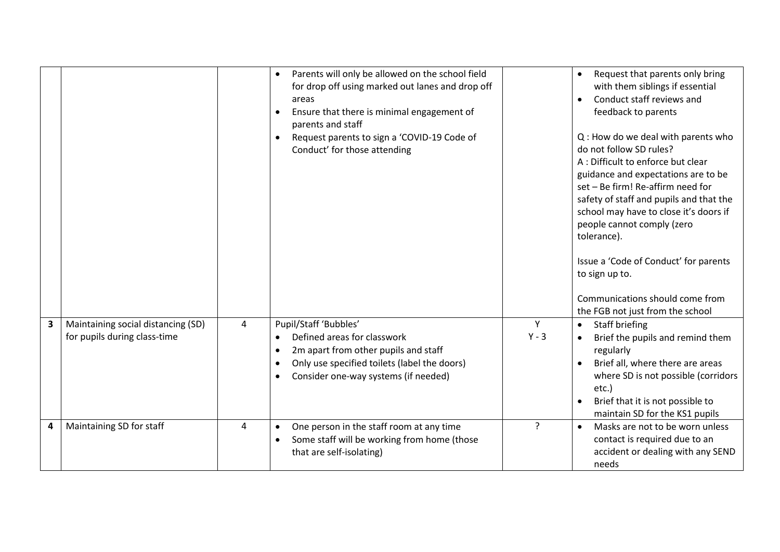|   |                                                                    |                | Parents will only be allowed on the school field<br>$\bullet$<br>for drop off using marked out lanes and drop off<br>areas<br>Ensure that there is minimal engagement of<br>$\bullet$<br>parents and staff<br>Request parents to sign a 'COVID-19 Code of<br>$\bullet$<br>Conduct' for those attending |              | Request that parents only bring<br>$\bullet$<br>with them siblings if essential<br>Conduct staff reviews and<br>$\bullet$<br>feedback to parents<br>Q: How do we deal with parents who<br>do not follow SD rules?<br>A : Difficult to enforce but clear<br>guidance and expectations are to be<br>set - Be firm! Re-affirm need for<br>safety of staff and pupils and that the<br>school may have to close it's doors if<br>people cannot comply (zero<br>tolerance).<br>Issue a 'Code of Conduct' for parents<br>to sign up to.<br>Communications should come from<br>the FGB not just from the school |
|---|--------------------------------------------------------------------|----------------|--------------------------------------------------------------------------------------------------------------------------------------------------------------------------------------------------------------------------------------------------------------------------------------------------------|--------------|---------------------------------------------------------------------------------------------------------------------------------------------------------------------------------------------------------------------------------------------------------------------------------------------------------------------------------------------------------------------------------------------------------------------------------------------------------------------------------------------------------------------------------------------------------------------------------------------------------|
| 3 | Maintaining social distancing (SD)<br>for pupils during class-time | 4              | Pupil/Staff 'Bubbles'<br>Defined areas for classwork<br>$\bullet$<br>2m apart from other pupils and staff<br>$\bullet$<br>Only use specified toilets (label the doors)<br>$\bullet$<br>Consider one-way systems (if needed)<br>$\bullet$                                                               | Y<br>$Y - 3$ | Staff briefing<br>$\bullet$<br>Brief the pupils and remind them<br>regularly<br>Brief all, where there are areas<br>where SD is not possible (corridors<br>etc.)<br>Brief that it is not possible to<br>maintain SD for the KS1 pupils                                                                                                                                                                                                                                                                                                                                                                  |
| 4 | Maintaining SD for staff                                           | $\overline{a}$ | One person in the staff room at any time<br>$\bullet$<br>Some staff will be working from home (those<br>$\bullet$<br>that are self-isolating)                                                                                                                                                          | 2            | Masks are not to be worn unless<br>$\bullet$<br>contact is required due to an<br>accident or dealing with any SEND<br>needs                                                                                                                                                                                                                                                                                                                                                                                                                                                                             |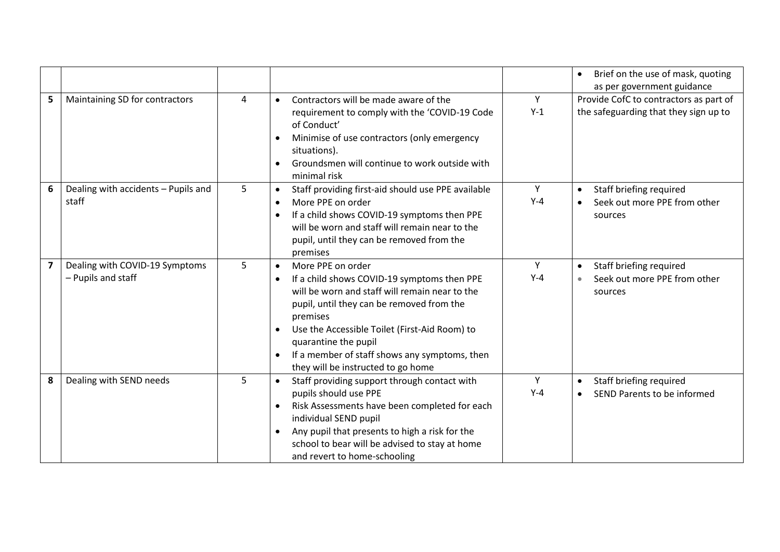|                         |                                                      |   |                                                                                                                                                                                                                                                                                                                                                                                                 |            | Brief on the use of mask, quoting<br>$\bullet$<br>as per government guidance    |
|-------------------------|------------------------------------------------------|---|-------------------------------------------------------------------------------------------------------------------------------------------------------------------------------------------------------------------------------------------------------------------------------------------------------------------------------------------------------------------------------------------------|------------|---------------------------------------------------------------------------------|
| 5                       | Maintaining SD for contractors                       | 4 | Contractors will be made aware of the<br>$\bullet$<br>requirement to comply with the 'COVID-19 Code<br>of Conduct'<br>Minimise of use contractors (only emergency<br>situations).<br>Groundsmen will continue to work outside with<br>minimal risk                                                                                                                                              | Y<br>$Y-1$ | Provide CofC to contractors as part of<br>the safeguarding that they sign up to |
| 6                       | Dealing with accidents - Pupils and<br>staff         | 5 | Staff providing first-aid should use PPE available<br>$\bullet$<br>More PPE on order<br>$\bullet$<br>If a child shows COVID-19 symptoms then PPE<br>will be worn and staff will remain near to the<br>pupil, until they can be removed from the<br>premises                                                                                                                                     | Y<br>$Y-4$ | Staff briefing required<br>$\bullet$<br>Seek out more PPE from other<br>sources |
| $\overline{\mathbf{z}}$ | Dealing with COVID-19 Symptoms<br>- Pupils and staff | 5 | More PPE on order<br>$\bullet$<br>If a child shows COVID-19 symptoms then PPE<br>$\bullet$<br>will be worn and staff will remain near to the<br>pupil, until they can be removed from the<br>premises<br>Use the Accessible Toilet (First-Aid Room) to<br>$\bullet$<br>quarantine the pupil<br>If a member of staff shows any symptoms, then<br>$\bullet$<br>they will be instructed to go home | Y<br>$Y-4$ | Staff briefing required<br>$\bullet$<br>Seek out more PPE from other<br>sources |
| 8                       | Dealing with SEND needs                              | 5 | Staff providing support through contact with<br>$\bullet$<br>pupils should use PPE<br>Risk Assessments have been completed for each<br>individual SEND pupil<br>Any pupil that presents to high a risk for the<br>school to bear will be advised to stay at home<br>and revert to home-schooling                                                                                                | Y<br>$Y-4$ | Staff briefing required<br>SEND Parents to be informed<br>$\bullet$             |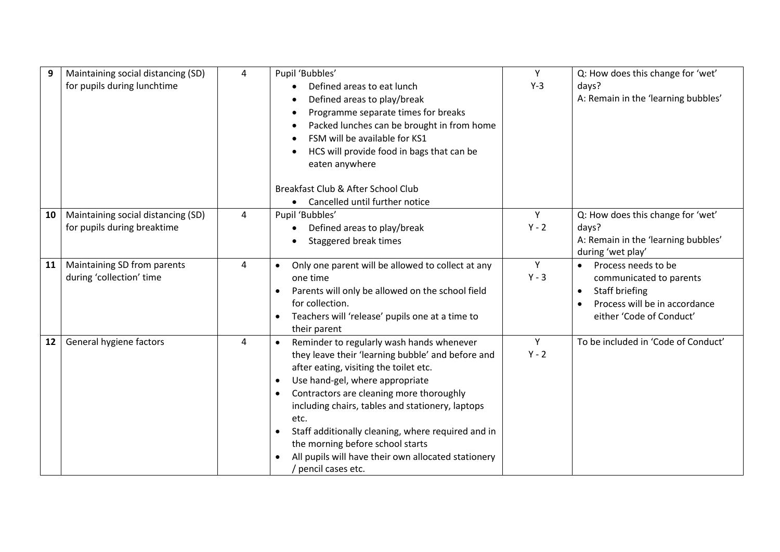| 9  | Maintaining social distancing (SD)<br>for pupils during lunchtime | 4 | Pupil 'Bubbles'<br>Defined areas to eat lunch<br>Defined areas to play/break<br>Programme separate times for breaks<br>$\bullet$<br>Packed lunches can be brought in from home<br>FSM will be available for KS1<br>HCS will provide food in bags that can be<br>eaten anywhere<br>Breakfast Club & After School Club<br>Cancelled until further notice                                                                                                                   | Y<br>$Y-3$   | Q: How does this change for 'wet'<br>days?<br>A: Remain in the 'learning bubbles'                                                                       |
|----|-------------------------------------------------------------------|---|--------------------------------------------------------------------------------------------------------------------------------------------------------------------------------------------------------------------------------------------------------------------------------------------------------------------------------------------------------------------------------------------------------------------------------------------------------------------------|--------------|---------------------------------------------------------------------------------------------------------------------------------------------------------|
| 10 | Maintaining social distancing (SD)<br>for pupils during breaktime | 4 | Pupil 'Bubbles'<br>Defined areas to play/break<br>$\bullet$<br>Staggered break times                                                                                                                                                                                                                                                                                                                                                                                     | Y<br>$Y - 2$ | Q: How does this change for 'wet'<br>days?<br>A: Remain in the 'learning bubbles'<br>during 'wet play'                                                  |
| 11 | Maintaining SD from parents<br>during 'collection' time           | 4 | Only one parent will be allowed to collect at any<br>one time<br>Parents will only be allowed on the school field<br>for collection.<br>Teachers will 'release' pupils one at a time to<br>their parent                                                                                                                                                                                                                                                                  | Y<br>$Y - 3$ | Process needs to be<br>$\bullet$<br>communicated to parents<br>Staff briefing<br>$\bullet$<br>Process will be in accordance<br>either 'Code of Conduct' |
| 12 | General hygiene factors                                           | 4 | Reminder to regularly wash hands whenever<br>they leave their 'learning bubble' and before and<br>after eating, visiting the toilet etc.<br>Use hand-gel, where appropriate<br>$\bullet$<br>Contractors are cleaning more thoroughly<br>including chairs, tables and stationery, laptops<br>etc.<br>Staff additionally cleaning, where required and in<br>the morning before school starts<br>All pupils will have their own allocated stationery<br>/ pencil cases etc. | Y<br>$Y - 2$ | To be included in 'Code of Conduct'                                                                                                                     |